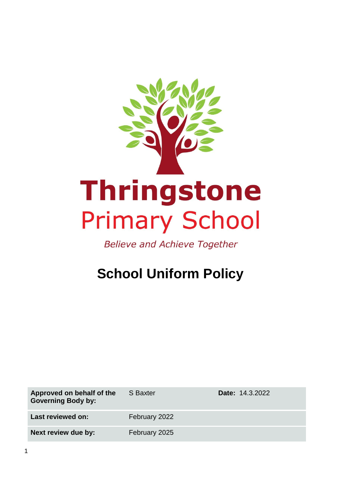

**Believe and Achieve Together** 

# **School Uniform Policy**

| Approved on behalf of the<br><b>Governing Body by:</b> | S Baxter      | <b>Date: 14.3.2022</b> |
|--------------------------------------------------------|---------------|------------------------|
| Last reviewed on:                                      | February 2022 |                        |
| Next review due by:                                    | February 2025 |                        |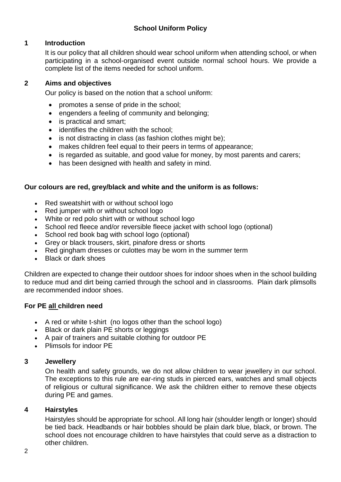## **1 Introduction**

It is our policy that all children should wear school uniform when attending school, or when participating in a school-organised event outside normal school hours. We provide a complete list of the items needed for school uniform.

#### **2 Aims and objectives**

Our policy is based on the notion that a school uniform:

- promotes a sense of pride in the school;
- engenders a feeling of community and belonging;
- is practical and smart;
- identifies the children with the school:
- is not distracting in class (as fashion clothes might be);
- makes children feel equal to their peers in terms of appearance;
- is regarded as suitable, and good value for money, by most parents and carers;
- has been designed with health and safety in mind.

## **Our colours are red, grey/black and white and the uniform is as follows:**

- Red sweatshirt with or without school logo
- Red jumper with or without school logo
- White or red polo shirt with or without school logo
- School red fleece and/or reversible fleece jacket with school logo (optional)
- School red book bag with school logo (optional)
- Grey or black trousers, skirt, pinafore dress or shorts
- Red gingham dresses or culottes may be worn in the summer term
- Black or dark shoes

Children are expected to change their outdoor shoes for indoor shoes when in the school building to reduce mud and dirt being carried through the school and in classrooms. Plain dark plimsolls are recommended indoor shoes.

## **For PE all children need**

- A red or white t-shirt (no logos other than the school logo)
- Black or dark plain PE shorts or leggings
- A pair of trainers and suitable clothing for outdoor PE
- Plimsols for indoor PE

# **3 Jewellery**

On health and safety grounds, we do not allow children to wear jewellery in our school. The exceptions to this rule are ear-ring studs in pierced ears, watches and small objects of religious or cultural significance. We ask the children either to remove these objects during PE and games.

## **4 Hairstyles**

Hairstyles should be appropriate for school. All long hair (shoulder length or longer) should be tied back. Headbands or hair bobbles should be plain dark blue, black, or brown. The school does not encourage children to have hairstyles that could serve as a distraction to other children.